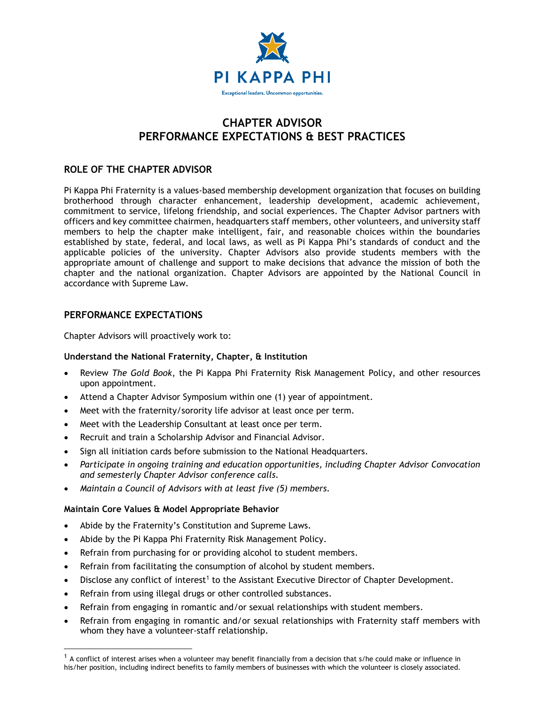

# **CHAPTER ADVISOR PERFORMANCE EXPECTATIONS & BEST PRACTICES**

## **ROLE OF THE CHAPTER ADVISOR**

Pi Kappa Phi Fraternity is a values-based membership development organization that focuses on building brotherhood through character enhancement, leadership development, academic achievement, commitment to service, lifelong friendship, and social experiences. The Chapter Advisor partners with officers and key committee chairmen, headquarters staff members, other volunteers, and university staff members to help the chapter make intelligent, fair, and reasonable choices within the boundaries established by state, federal, and local laws, as well as Pi Kappa Phi's standards of conduct and the applicable policies of the university. Chapter Advisors also provide students members with the appropriate amount of challenge and support to make decisions that advance the mission of both the chapter and the national organization. Chapter Advisors are appointed by the National Council in accordance with Supreme Law.

## **PERFORMANCE EXPECTATIONS**

Chapter Advisors will proactively work to:

### **Understand the National Fraternity, Chapter, & Institution**

- Review *The Gold Book*, the Pi Kappa Phi Fraternity Risk Management Policy, and other resources upon appointment.
- Attend a Chapter Advisor Symposium within one (1) year of appointment.
- Meet with the fraternity/sorority life advisor at least once per term.
- Meet with the Leadership Consultant at least once per term.
- Recruit and train a Scholarship Advisor and Financial Advisor.
- Sign all initiation cards before submission to the National Headquarters.
- *Participate in ongoing training and education opportunities, including Chapter Advisor Convocation and semesterly Chapter Advisor conference calls.*
- *Maintain a Council of Advisors with at least five (5) members.*

### **Maintain Core Values & Model Appropriate Behavior**

 $\overline{a}$ 

- Abide by the Fraternity's Constitution and Supreme Laws.
- Abide by the Pi Kappa Phi Fraternity Risk Management Policy.
- Refrain from purchasing for or providing alcohol to student members.
- Refrain from facilitating the consumption of alcohol by student members.
- Disclose any conflict of interest<sup>1</sup> to the Assistant Executive Director of Chapter Development.
- Refrain from using illegal drugs or other controlled substances.
- Refrain from engaging in romantic and/or sexual relationships with student members.
- Refrain from engaging in romantic and/or sexual relationships with Fraternity staff members with whom they have a volunteer-staff relationship.

 $1$  A conflict of interest arises when a volunteer may benefit financially from a decision that s/he could make or influence in his/her position, including indirect benefits to family members of businesses with which the volunteer is closely associated.